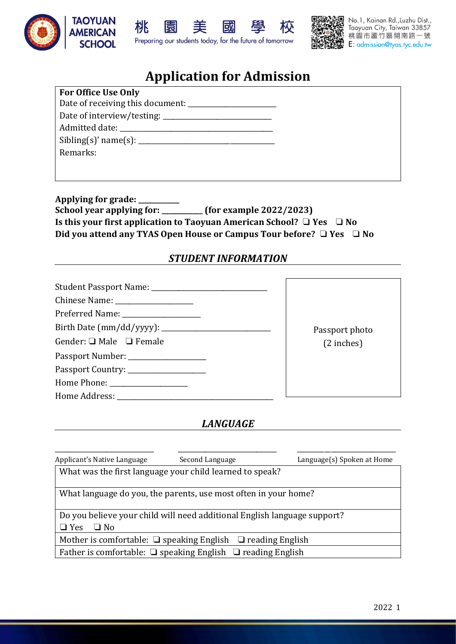





# **Application for Admission**

ΓW

| <b>For Office Use Only</b>       |
|----------------------------------|
| Date of receiving this document: |
|                                  |
|                                  |
| Sibling(s)' name(s):             |
| Remarks:                         |
|                                  |

**Applying for grade: \_\_\_\_\_\_\_\_\_\_\_\_ School year applying for: \_\_\_\_\_\_\_\_\_\_\_\_ (for example 2022/2023) Is this your first application to Taoyuan American School?** ❏ **Yes** ❏ **No Did you attend any TYAS Open House or Campus Tour before?** ❏ **Yes** ❏ **No**

### *STUDENT INFORMATION*

| Gender: $\Box$ Male $\Box$ Female     |
|---------------------------------------|
| Passport Number: ___________________  |
| Passport Country: ___________________ |
|                                       |
|                                       |

Passport photo (2 inches)

### *LANGUAGE*

| Applicant's Native Language                                              | Second Language | Language(s) Spoken at Home |
|--------------------------------------------------------------------------|-----------------|----------------------------|
| What was the first language your child learned to speak?                 |                 |                            |
| What language do you, the parents, use most often in your home?          |                 |                            |
| Do you believe your child will need additional English language support? |                 |                            |
| $\Box$ No<br>$\Box$ Yes                                                  |                 |                            |
| Mother is comfortable: $\Box$ speaking English $\Box$ reading English    |                 |                            |
| Father is comfortable: $\Box$ speaking English $\Box$ reading English    |                 |                            |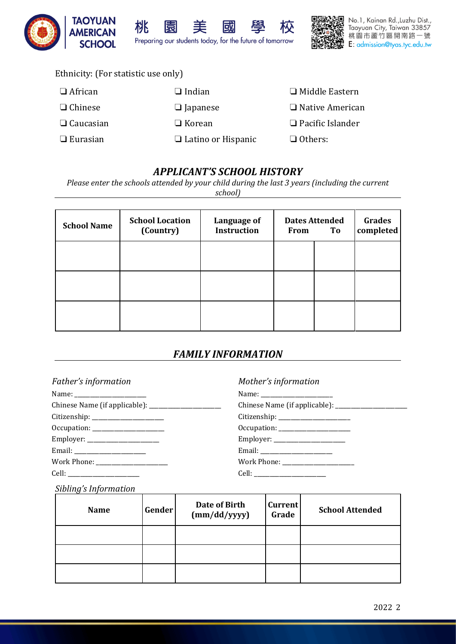



### Ethnicity: (For statistic use only)

| $\Box$ Indian             | $\Box$ Middle Eastern   |
|---------------------------|-------------------------|
| $\Box$ Japanese           | $\Box$ Native American  |
| $\Box$ Korean             | $\Box$ Pacific Islander |
| $\Box$ Latino or Hispanic | $\Box$ Others:          |
|                           |                         |

# *APPLICANT'S SCHOOL HISTORY*

回

*Please enter the schools attended by your child during the last 3 years (including the current school)*

| <b>School Name</b> | <b>School Location</b><br>(Country) | Language of<br><b>Instruction</b> | From | <b>Dates Attended</b><br>To | Grades<br>completed |
|--------------------|-------------------------------------|-----------------------------------|------|-----------------------------|---------------------|
|                    |                                     |                                   |      |                             |                     |
|                    |                                     |                                   |      |                             |                     |
|                    |                                     |                                   |      |                             |                     |

# *FAMILY INFORMATION*

| Father's information               | Mother's information                |  |
|------------------------------------|-------------------------------------|--|
|                                    |                                     |  |
|                                    | Chinese Name (if applicable): _____ |  |
| Citizenship: _____________________ |                                     |  |
| Occupation: _____________________  |                                     |  |
| Employer: _______________________  |                                     |  |
|                                    |                                     |  |
| Work Phone: ____________________   |                                     |  |
|                                    |                                     |  |

# Name: \_\_\_\_\_\_\_\_\_\_\_\_\_\_\_\_\_\_\_\_\_\_\_

| Chinese Name (if applicable): |  |
|-------------------------------|--|
|                               |  |

### *Sibling's Information*

| <b>Name</b> | Gender | Date of Birth<br>(mm/dd/yyyy) | <b>Current</b><br>Grade | <b>School Attended</b> |
|-------------|--------|-------------------------------|-------------------------|------------------------|
|             |        |                               |                         |                        |
|             |        |                               |                         |                        |
|             |        |                               |                         |                        |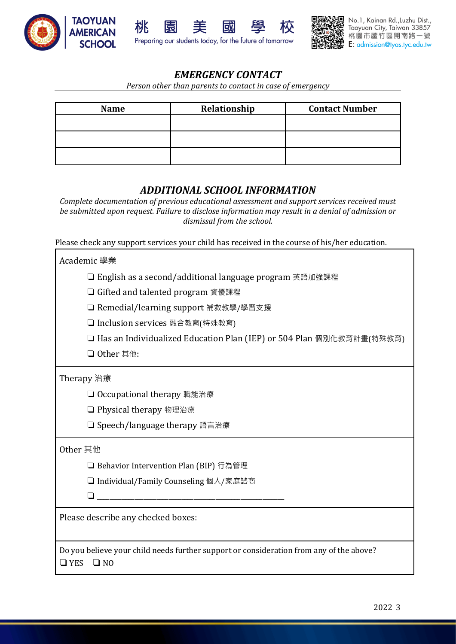





# *EMERGENCY CONTACT*

*Person other than parents to contact in case of emergency*

| <b>Name</b> | Relationship | <b>Contact Number</b> |
|-------------|--------------|-----------------------|
|             |              |                       |
|             |              |                       |
|             |              |                       |
|             |              |                       |

### *ADDITIONAL SCHOOL INFORMATION*

*Complete documentation of previous educational assessment and support services received must be submitted upon request. Failure to disclose information may result in a denial of admission or dismissal from the school.*

Please check any support services your child has received in the course of his/her education.

| Academic 學業                                                                                                              |
|--------------------------------------------------------------------------------------------------------------------------|
| □ English as a second/additional language program 英語加強課程                                                                 |
| □ Gifted and talented program 資優課程                                                                                       |
| □ Remedial/learning support 補救教學/學習支援                                                                                    |
| □ Inclusion services 融合教育(特殊教育)                                                                                          |
| □ Has an Individualized Education Plan (IEP) or 504 Plan 個別化教育計畫(特殊教育)                                                   |
| □ Other 其他:                                                                                                              |
| Therapy 治療                                                                                                               |
| □ Occupational therapy 職能治療                                                                                              |
| □ Physical therapy 物理治療                                                                                                  |
| □ Speech/language therapy 語言治療                                                                                           |
| Other 其他                                                                                                                 |
| □ Behavior Intervention Plan (BIP) 行為管理                                                                                  |
| □ Individual/Family Counseling 個人/家庭諮商                                                                                   |
|                                                                                                                          |
| Please describe any checked boxes:                                                                                       |
| Do you believe your child needs further support or consideration from any of the above?<br>$\square$ NO<br>$\square$ YES |